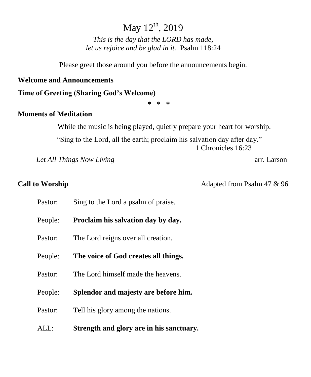# May  $12^{th}$ , 2019

*This is the day that the LORD has made, let us rejoice and be glad in it.* Psalm 118:24

Please greet those around you before the announcements begin.

## **Welcome and Announcements**

**Time of Greeting (Sharing God's Welcome)**

**\* \* \***

## **Moments of Meditation**

While the music is being played, quietly prepare your heart for worship.

"Sing to the Lord, all the earth; proclaim his salvation day after day." 1 Chronicles 16:23

*Let All Things Now Living* **arr.** Larson

**Call to Worship Call to Worship 2018** Adapted from Psalm 47 & 96

| Pastor: | Sing to the Lord a psalm of praise.      |
|---------|------------------------------------------|
| People: | Proclaim his salvation day by day.       |
| Pastor: | The Lord reigns over all creation.       |
| People: | The voice of God creates all things.     |
| Pastor: | The Lord himself made the heavens.       |
| People: | Splendor and majesty are before him.     |
| Pastor: | Tell his glory among the nations.        |
| ALL:    | Strength and glory are in his sanctuary. |
|         |                                          |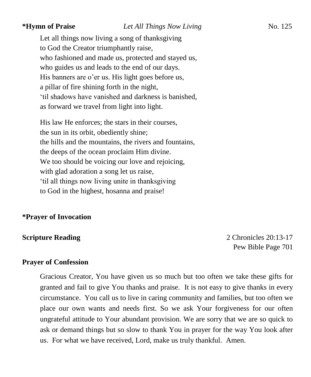Let all things now living a song of thanksgiving to God the Creator triumphantly raise, who fashioned and made us, protected and stayed us, who guides us and leads to the end of our days. His banners are o'er us. His light goes before us, a pillar of fire shining forth in the night, 'til shadows have vanished and darkness is banished, as forward we travel from light into light.

His law He enforces; the stars in their courses, the sun in its orbit, obediently shine; the hills and the mountains, the rivers and fountains, the deeps of the ocean proclaim Him divine. We too should be voicing our love and rejoicing, with glad adoration a song let us raise, 'til all things now living unite in thanksgiving to God in the highest, hosanna and praise!

### **\*Prayer of Invocation**

**Scripture Reading** 2 Chronicles 20:13-17 Pew Bible Page 701

### **Prayer of Confession**

Gracious Creator, You have given us so much but too often we take these gifts for granted and fail to give You thanks and praise. It is not easy to give thanks in every circumstance. You call us to live in caring community and families, but too often we place our own wants and needs first. So we ask Your forgiveness for our often ungrateful attitude to Your abundant provision. We are sorry that we are so quick to ask or demand things but so slow to thank You in prayer for the way You look after us. For what we have received, Lord, make us truly thankful. Amen.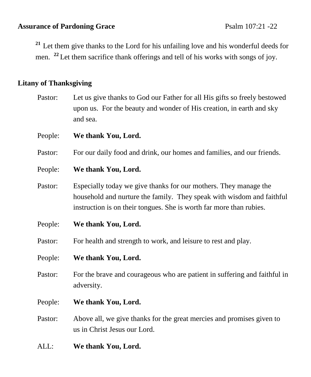## Assurance of Pardoning Grace Psalm 107:21 -22

**<sup>21</sup>** Let them give thanks to the Lord for his unfailing love and his wonderful deeds for men. **<sup>22</sup>**Let them sacrifice thank offerings and tell of his works with songs of joy.

## **Litany of Thanksgiving**

Pastor: Let us give thanks to God our Father for all His gifts so freely bestowed upon us. For the beauty and wonder of His creation, in earth and sky and sea.

People: **We thank You, Lord.**

Pastor: For our daily food and drink, our homes and families, and our friends.

### People: **We thank You, Lord.**

- Pastor: Especially today we give thanks for our mothers. They manage the household and nurture the family. They speak with wisdom and faithful instruction is on their tongues. She is worth far more than rubies.
- People: **We thank You, Lord.**

Pastor: For health and strength to work, and leisure to rest and play.

- People: **We thank You, Lord.**
- Pastor: For the brave and courageous who are patient in suffering and faithful in adversity.
- People: **We thank You, Lord.**
- Pastor: Above all, we give thanks for the great mercies and promises given to us in Christ Jesus our Lord.
- ALL: **We thank You, Lord.**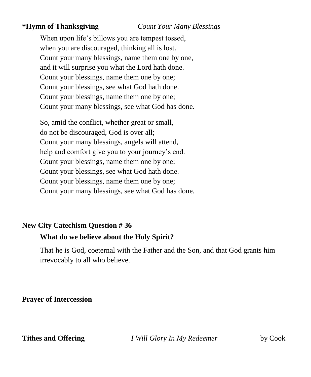**\*Hymn of Thanksgiving** *Count Your Many Blessings*

When upon life's billows you are tempest tossed, when you are discouraged, thinking all is lost. Count your many blessings, name them one by one, and it will surprise you what the Lord hath done. Count your blessings, name them one by one; Count your blessings, see what God hath done. Count your blessings, name them one by one; Count your many blessings, see what God has done.

So, amid the conflict, whether great or small, do not be discouraged, God is over all; Count your many blessings, angels will attend, help and comfort give you to your journey's end. Count your blessings, name them one by one; Count your blessings, see what God hath done. Count your blessings, name them one by one; Count your many blessings, see what God has done.

## **New City Catechism Question # 36 What do we believe about the Holy Spirit?**

That he is God, coeternal with the Father and the Son, and that God grants him irrevocably to all who believe.

**Prayer of Intercession**

**Tithes and Offering** *I Will Glory In My Redeemer* by Cook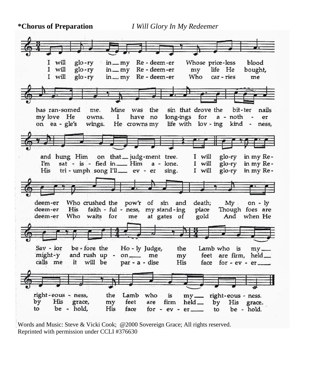**\*Chorus of Preparation** *I Will Glory In My Redeemer*



Words and Music: Steve & Vicki Cook; @2000 Sovereign Grace; All rights reserved. Reprinted with permission under CCLI #376630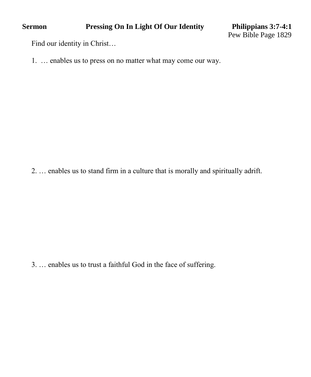Find our identity in Christ…

1. … enables us to press on no matter what may come our way.

2. … enables us to stand firm in a culture that is morally and spiritually adrift.

3. … enables us to trust a faithful God in the face of suffering.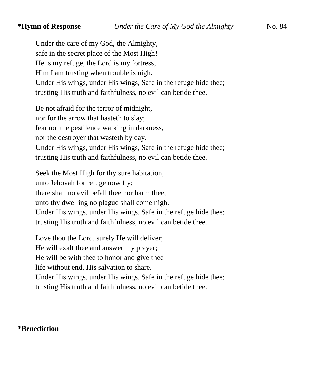Under the care of my God, the Almighty, safe in the secret place of the Most High! He is my refuge, the Lord is my fortress, Him I am trusting when trouble is nigh. Under His wings, under His wings, Safe in the refuge hide thee; trusting His truth and faithfulness, no evil can betide thee.

Be not afraid for the terror of midnight, nor for the arrow that hasteth to slay; fear not the pestilence walking in darkness, nor the destroyer that wasteth by day. Under His wings, under His wings, Safe in the refuge hide thee; trusting His truth and faithfulness, no evil can betide thee.

Seek the Most High for thy sure habitation, unto Jehovah for refuge now fly; there shall no evil befall thee nor harm thee, unto thy dwelling no plague shall come nigh. Under His wings, under His wings, Safe in the refuge hide thee; trusting His truth and faithfulness, no evil can betide thee.

Love thou the Lord, surely He will deliver; He will exalt thee and answer thy prayer; He will be with thee to honor and give thee life without end, His salvation to share. Under His wings, under His wings, Safe in the refuge hide thee; trusting His truth and faithfulness, no evil can betide thee.

## **\*Benediction**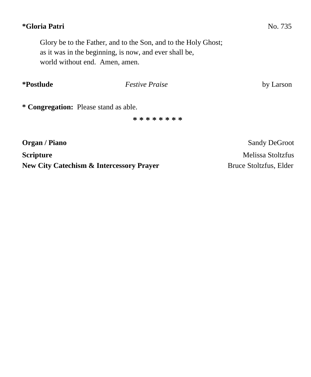## **\*Gloria Patri** No. 735

Glory be to the Father, and to the Son, and to the Holy Ghost; as it was in the beginning, is now, and ever shall be, world without end. Amen, amen.

| *Postlude                             | <i>Festive Praise</i> | by Larson            |  |
|---------------------------------------|-----------------------|----------------------|--|
| * Congregation: Please stand as able. |                       |                      |  |
|                                       | * * * * * * * *       |                      |  |
| Organ / Piano                         |                       | <b>Sandy DeGroot</b> |  |
| <b>Scripture</b>                      |                       | Melissa Stoltzfus    |  |

**New City Catechism & Intercessory Prayer** Bruce Stoltzfus, Elder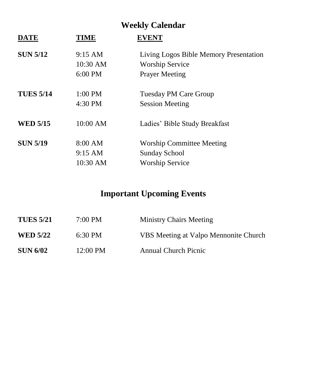# **Weekly Calendar**

| <b>DATE</b>      | <b>TIME</b> | <b>EVENT</b>                           |
|------------------|-------------|----------------------------------------|
| <b>SUN 5/12</b>  | 9:15 AM     | Living Logos Bible Memory Presentation |
|                  | 10:30 AM    | <b>Worship Service</b>                 |
|                  | $6:00$ PM   | <b>Prayer Meeting</b>                  |
| <b>TUES 5/14</b> | $1:00$ PM   | <b>Tuesday PM Care Group</b>           |
|                  | 4:30 PM     | <b>Session Meeting</b>                 |
| <b>WED 5/15</b>  | 10:00 AM    | Ladies' Bible Study Breakfast          |
| <b>SUN 5/19</b>  | 8:00 AM     | <b>Worship Committee Meeting</b>       |
|                  | 9:15 AM     | <b>Sunday School</b>                   |
|                  | 10:30 AM    | <b>Worship Service</b>                 |
|                  |             |                                        |

# **Important Upcoming Events**

| <b>TUES 5/21</b> | 7:00 PM           | <b>Ministry Chairs Meeting</b>        |
|------------------|-------------------|---------------------------------------|
| <b>WED 5/22</b>  | $6:30 \text{ PM}$ | VBS Meeting at Valpo Mennonite Church |
| <b>SUN 6/02</b>  | 12:00 PM          | <b>Annual Church Picnic</b>           |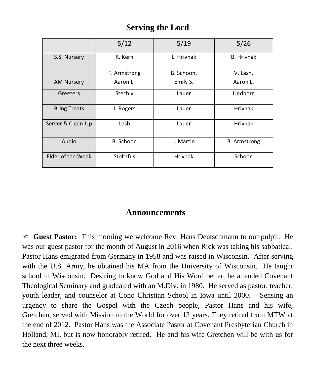## **Serving the Lord**

|                     | 5/12             | 5/19           | 5/26                |
|---------------------|------------------|----------------|---------------------|
| S.S. Nursery        | R. Kern          | L. Hrivnak     | <b>B.</b> Hrivnak   |
|                     | F. Armstrong     | B. Schoon,     | V. Lash,            |
| <b>AM Nursery</b>   | Aaron L.         | Emily S.       | Aaron L.            |
| Greeters            | Stechly          | Lauer          | Lindborg            |
| <b>Bring Treats</b> | J. Rogers        | Lauer          | <b>Hrivnak</b>      |
| Server & Clean-Up   | Lash             | Lauer          | <b>Hrivnak</b>      |
| Audio               | B. Schoon        | J. Martin      | <b>B.</b> Armstrong |
| Elder of the Week   | <b>Stoltzfus</b> | <b>Hrivnak</b> | Schoon              |

## **Announcements**

 **Guest Pastor:** This morning we welcome Rev. Hans Deutschmann to our pulpit. He was our guest pastor for the month of August in 2016 when Rick was taking his sabbatical. Pastor Hans emigrated from Germany in 1958 and was raised in Wisconsin. After serving with the U.S. Army, he obtained his MA from the University of Wisconsin. He taught school in Wisconsin. Desiring to know God and His Word better, he attended Covenant Theological Seminary and graduated with an M.Div. in 1980. He served as pastor, teacher, youth leader, and counselor at Cono Christian School in Iowa until 2000. Sensing an urgency to share the Gospel with the Czech people, Pastor Hans and his wife, Gretchen, served with Mission to the World for over 12 years. They retired from MTW at the end of 2012. Pastor Hans was the Associate Pastor at Covenant Presbyterian Church in Holland, MI, but is now honorably retired. He and his wife Gretchen will be with us for the next three weeks.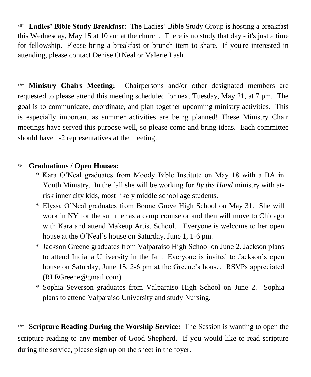**Ladies' Bible Study Breakfast:** The Ladies' Bible Study Group is hosting a breakfast this Wednesday, May 15 at 10 am at the church. There is no study that day - it's just a time for fellowship. Please bring a breakfast or brunch item to share. If you're interested in attending, please contact Denise O'Neal or Valerie Lash.

 **Ministry Chairs Meeting:** Chairpersons and/or other designated members are requested to please attend this meeting scheduled for next Tuesday, May 21, at 7 pm. The goal is to communicate, coordinate, and plan together upcoming ministry activities. This is especially important as summer activities are being planned! These Ministry Chair meetings have served this purpose well, so please come and bring ideas. Each committee should have 1-2 representatives at the meeting.

## **Graduations / Open Houses:**

- \* Kara O'Neal graduates from Moody Bible Institute on May 18 with a BA in Youth Ministry. In the fall she will be working for *By the Hand* ministry with atrisk inner city kids, most likely middle school age students.
- \* Elyssa O'Neal graduates from Boone Grove High School on May 31. She will work in NY for the summer as a camp counselor and then will move to Chicago with Kara and attend Makeup Artist School. Everyone is welcome to her open house at the O'Neal's house on Saturday, June 1, 1-6 pm.
- \* Jackson Greene graduates from Valparaiso High School on June 2. Jackson plans to attend Indiana University in the fall. Everyone is invited to Jackson's open house on Saturday, June 15, 2-6 pm at the Greene's house. RSVPs appreciated [\(RLEGreene@gmail.com\)](mailto:RLEGreene@gmail.com)
- \* Sophia Severson graduates from Valparaiso High School on June 2. Sophia plans to attend Valparaiso University and study Nursing.

 **Scripture Reading During the Worship Service:** The Session is wanting to open the scripture reading to any member of Good Shepherd. If you would like to read scripture during the service, please sign up on the sheet in the foyer.